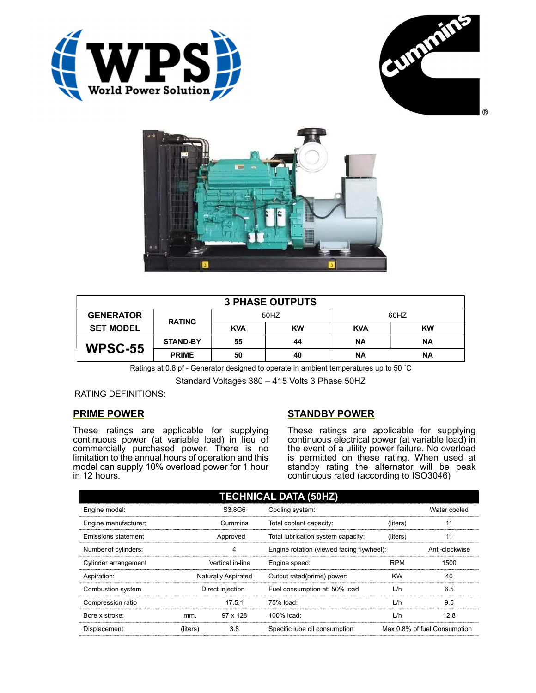





| <b>3 PHASE OUTPUTS</b> |                 |            |           |            |           |  |
|------------------------|-----------------|------------|-----------|------------|-----------|--|
| <b>GENERATOR</b>       | <b>RATING</b>   | 50HZ       |           | 60HZ       |           |  |
| <b>SET MODEL</b>       |                 | <b>KVA</b> | <b>KW</b> | <b>KVA</b> | <b>KW</b> |  |
| <b>WPSC-55</b>         | <b>STAND-BY</b> | 55         | 44        | <b>NA</b>  | <b>NA</b> |  |
|                        | <b>PRIME</b>    | 50         | 40        | ΝA         | <b>NA</b> |  |

Ratings at 0.8 pf - Generator designed to operate in ambient temperatures up to 50 °C

Standard Voltages 380 – 415 Volts 3 Phase 50HZ

## RATING DEFINITIONS:

## PRIME POWER

These ratings are applicable for supplying continuous power (at variable load) in lieu of commercially purchased power. There is no limitation to the annual hours of operation and this model can supply 10% overload power for 1 hour in 12 hours.

## STANDBY POWER

These ratings are applicable for supplying continuous electrical power (at variable load) in the event of a utility power failure. No overload is permitted on these rating. When used at standby rating the alternator will be peak continuous rated (according to ISO3046)

| <b>TECHNICAL DATA (50HZ)</b> |                            |                 |                                           |            |                              |  |
|------------------------------|----------------------------|-----------------|-------------------------------------------|------------|------------------------------|--|
| Engine model:                |                            | S3.8G6          | Cooling system:                           |            | Water cooled                 |  |
| Engine manufacturer:         | Cummins                    |                 | Total coolant capacity:                   | (liters)   | 11                           |  |
| Emissions statement          | Approved                   |                 | Total lubrication system capacity:        | (liters)   | 11                           |  |
| Number of cylinders:         | 4                          |                 | Engine rotation (viewed facing flywheel): |            | Anti-clockwise               |  |
| Cylinder arrangement         | Vertical in-line           |                 | Engine speed:                             | <b>RPM</b> | 1500                         |  |
| Aspiration:                  | <b>Naturally Aspirated</b> |                 | Output rated(prime) power:                | <b>KW</b>  | 40                           |  |
| Combustion system            | Direct injection           |                 | Fuel consumption at: 50% load             | L/h        | 6.5                          |  |
| Compression ratio            |                            | 17.5:1          | 75% load:                                 | L/h        | 9.5                          |  |
| Bore x stroke:               | mm.                        | $97 \times 128$ | $100\%$ load:                             | L/h        | 12.8                         |  |
| Displacement:                | (liters)                   | 3.8             | Specific lube oil consumption:            |            | Max 0.8% of fuel Consumption |  |